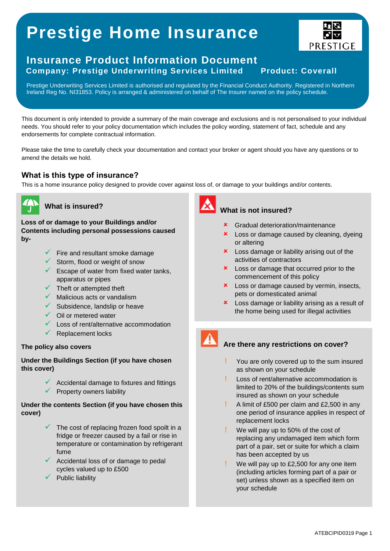# **Prestige Home Insurance**





Prestige Underwriting Services Limited is authorised and regulated by the Financial Conduct Authority. Registered in Northern Ireland Reg No. NI31853. Policy is arranged & administered on behalf of The Insurer named on the policy schedule.

This document is only intended to provide a summary of the main coverage and exclusions and is not personalised to your individual needs. You should refer to your policy documentation which includes the policy wording, statement of fact, schedule and any endorsements for complete contractual information.

Please take the time to carefully check your documentation and contact your broker or agent should you have any questions or to amend the details we hold.

# **What is this type of insurance?**

This is a home insurance policy designed to provide cover against loss of, or damage to your buildings and/or contents.



# **What is insured?**

**Loss of or damage to your Buildings and/or Contents including personal possessions caused by-**

- Fire and resultant smoke damage
- $\checkmark$  Storm, flood or weight of snow
- $\checkmark$  Escape of water from fixed water tanks, apparatus or pipes
- $\checkmark$  Theft or attempted theft
- $\checkmark$  Malicious acts or vandalism
- $\checkmark$  Subsidence, landslip or heave
- $\checkmark$  Oil or metered water
- Loss of rent/alternative accommodation
- Replacement locks

### **The policy also covers**

**Under the Buildings Section (if you have chosen this cover)**

> $\checkmark$  Accidental damage to fixtures and fittings  $\checkmark$  Property owners liability

# **Under the contents Section (if you have chosen this cover)**

- $\checkmark$  The cost of replacing frozen food spoilt in a fridge or freezer caused by a fail or rise in temperature or contamination by refrigerant fume
- Accidental loss of or damage to pedal cycles valued up to £500
- Public liability



# **What is not insured?**

- Gradual deterioration/maintenance
- **x** Loss or damage caused by cleaning, dyeing or altering
- **x** Loss damage or liability arising out of the activities of contractors
- **x** Loss or damage that occurred prior to the commencement of this policy
- **x** Loss or damage caused by vermin, insects, pets or domesticated animal
- **x** Loss damage or liability arising as a result of the home being used for illegal activities

# **Are there any restrictions on cover?**

- **!** You are only covered up to the sum insured as shown on your schedule
- **!** Loss of rent/alternative accommodation is limited to 20% of the buildings/contents sum insured as shown on your schedule
- **!** A limit of £500 per claim and £2,500 in any one period of insurance applies in respect of replacement locks
- **!** We will pay up to 50% of the cost of replacing any undamaged item which form part of a pair, set or suite for which a claim has been accepted by us
- **!** We will pay up to £2,500 for any one item (including articles forming part of a pair or set) unless shown as a specified item on your schedule